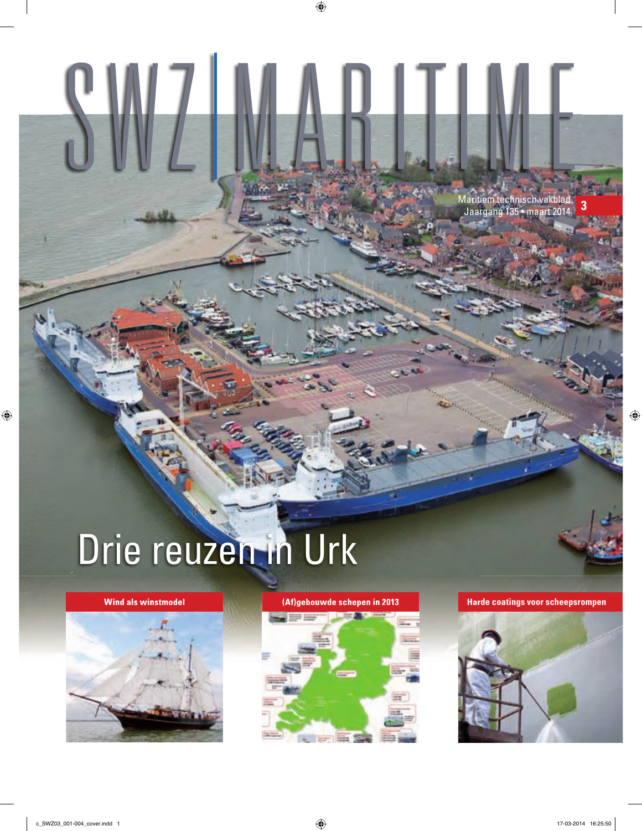Maritiem technisch vakblad Jaargang 135 • maart 2014 **3**

# Drie reuzen in Urk





**Wind als winstmodel (Af)gebouwde schepen in 2013 Harde coatings voor scheepsrompen**

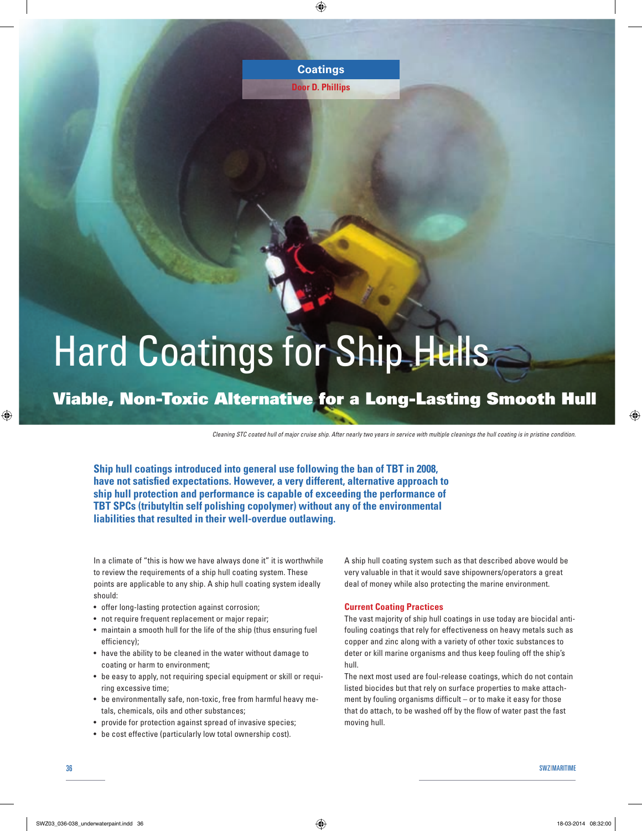**Door D. Phillips**

## Hard Coatings for Ship Hulls

### Viable, Non-Toxic Alternative for a Long-Lasting Smooth Hull

*Cleaning STC coated hull of major cruise ship. After nearly two years in service with multiple cleanings the hull coating is in pristine condition.* 

**Ship hull coatings introduced into general use following the ban of TBT in 2008,**  have not satisfied expectations. However, a very different, alternative approach to **ship hull protection and performance is capable of exceeding the performance of TBT SPCs (tributyltin self polishing copolymer) without any of the environmental liabilities that resulted in their well-overdue outlawing.** 

In a climate of "this is how we have always done it" it is worthwhile to review the requirements of a ship hull coating system. These points are applicable to any ship. A ship hull coating system ideally should:

- offer long-lasting protection against corrosion;
- not require frequent replacement or major repair;
- maintain a smooth hull for the life of the ship (thus ensuring fuel efficiency):
- have the ability to be cleaned in the water without damage to coating or harm to environment;
- be easy to apply, not requiring special equipment or skill or requiring excessive time;
- be environmentally safe, non-toxic, free from harmful heavy metals, chemicals, oils and other substances;
- provide for protection against spread of invasive species;
- be cost effective (particularly low total ownership cost).

A ship hull coating system such as that described above would be very valuable in that it would save shipowners/operators a great deal of money while also protecting the marine environment.

#### **Current Coating Practices**

The vast majority of ship hull coatings in use today are biocidal antifouling coatings that rely for effectiveness on heavy metals such as copper and zinc along with a variety of other toxic substances to deter or kill marine organisms and thus keep fouling off the ship's hull.

The next most used are foul-release coatings, which do not contain listed biocides but that rely on surface properties to make attachment by fouling organisms difficult  $-$  or to make it easy for those that do attach, to be washed off by the flow of water past the fast moving hull.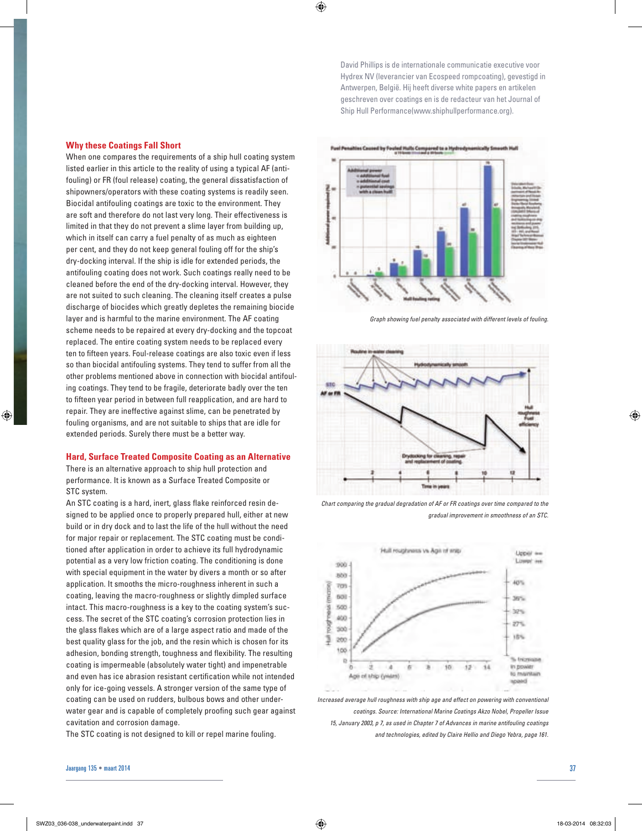David Phillips is de internationale communicatie executive voor Hydrex NV (leverancier van Ecospeed rompcoating), gevestigd in Antwerpen, België. Hij heeft diverse white papers en artikelen geschreven over coatings en is de redacteur van het Journal of Ship Hull Performance(www.shiphullperformance.org).

#### **Why these Coatings Fall Short**

When one compares the requirements of a ship hull coating system listed earlier in this article to the reality of using a typical AF (antifouling) or FR (foul release) coating, the general dissatisfaction of shipowners/operators with these coating systems is readily seen. Biocidal antifouling coatings are toxic to the environment. They are soft and therefore do not last very long. Their effectiveness is limited in that they do not prevent a slime layer from building up, which in itself can carry a fuel penalty of as much as eighteen per cent, and they do not keep general fouling off for the ship's dry-docking interval. If the ship is idle for extended periods, the antifouling coating does not work. Such coatings really need to be cleaned before the end of the dry-docking interval. However, they are not suited to such cleaning. The cleaning itself creates a pulse discharge of biocides which greatly depletes the remaining biocide layer and is harmful to the marine environment. The AF coating scheme needs to be repaired at every dry-docking and the topcoat replaced. The entire coating system needs to be replaced every ten to fifteen years. Foul-release coatings are also toxic even if less so than biocidal antifouling systems. They tend to suffer from all the other problems mentioned above in connection with biocidal antifouling coatings. They tend to be fragile, deteriorate badly over the ten to fifteen year period in between full reapplication, and are hard to repair. They are ineffective against slime, can be penetrated by fouling organisms, and are not suitable to ships that are idle for extended periods. Surely there must be a better way.

#### **Hard, Surface Treated Composite Coating as an Alternative**

There is an alternative approach to ship hull protection and performance. It is known as a Surface Treated Composite or STC system.

An STC coating is a hard, inert, glass flake reinforced resin designed to be applied once to properly prepared hull, either at new build or in dry dock and to last the life of the hull without the need for major repair or replacement. The STC coating must be conditioned after application in order to achieve its full hydrodynamic potential as a very low friction coating. The conditioning is done with special equipment in the water by divers a month or so after application. It smooths the micro-roughness inherent in such a coating, leaving the macro-roughness or slightly dimpled surface intact. This macro-roughness is a key to the coating system's success. The secret of the STC coating's corrosion protection lies in the glass flakes which are of a large aspect ratio and made of the best quality glass for the job, and the resin which is chosen for its adhesion, bonding strength, toughness and flexibility. The resulting coating is impermeable (absolutely water tight) and impenetrable and even has ice abrasion resistant certification while not intended only for ice-going vessels. A stronger version of the same type of coating can be used on rudders, bulbous bows and other underwater gear and is capable of completely proofing such gear against cavitation and corrosion damage.

The STC coating is not designed to kill or repel marine fouling.



*Graph showing fuel penalty associated with different levels of fouling.*



*Chart comparing the gradual degradation of AF or FR coatings over time compared to the gradual improvement in smoothness of an STC.*



*Increased average hull roughness with ship age and effect on powering with conventional coatings. Source: International Marine Coatings Akzo Nobel, Propeller Issue 15, January 2003, p 7, as used in Chapter 7 of Advances in marine antifouling coatings and technologies, edited by Claire Hellio and Diego Yebra, page 161.*